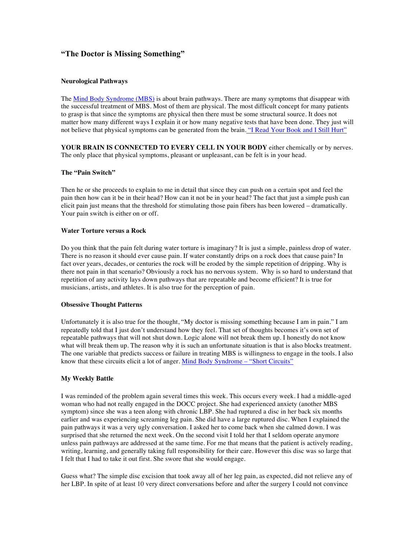# **"The Doctor is Missing Something"**

### **Neurological Pathways**

The Mind Body Syndrome (MBS) is about brain pathways. There are many symptoms that disappear with the successful treatment of MBS. Most of them are physical. The most difficult concept for many patients to grasp is that since the symptoms are physical then there must be some structural source. It does not matter how many different ways I explain it or how many negative tests that have been done. They just will not believe that physical symptoms can be generated from the brain. "I Read Your Book and I Still Hurt"

**YOUR BRAIN IS CONNECTED TO EVERY CELL IN YOUR BODY** either chemically or by nerves. The only place that physical symptoms, pleasant or unpleasant, can be felt is in your head.

### **The "Pain Switch"**

Then he or she proceeds to explain to me in detail that since they can push on a certain spot and feel the pain then how can it be in their head? How can it not be in your head? The fact that just a simple push can elicit pain just means that the threshold for stimulating those pain fibers has been lowered – dramatically. Your pain switch is either on or off.

#### **Water Torture versus a Rock**

Do you think that the pain felt during water torture is imaginary? It is just a simple, painless drop of water. There is no reason it should ever cause pain. If water constantly drips on a rock does that cause pain? In fact over years, decades, or centuries the rock will be eroded by the simple repetition of dripping. Why is there not pain in that scenario? Obviously a rock has no nervous system. Why is so hard to understand that repetition of any activity lays down pathways that are repeatable and become efficient? It is true for musicians, artists, and athletes. It is also true for the perception of pain.

#### **Obsessive Thought Patterns**

Unfortunately it is also true for the thought, "My doctor is missing something because I am in pain." I am repeatedly told that I just don't understand how they feel. That set of thoughts becomes it's own set of repeatable pathways that will not shut down. Logic alone will not break them up. I honestly do not know what will break them up. The reason why it is such an unfortunate situation is that is also blocks treatment. The one variable that predicts success or failure in treating MBS is willingness to engage in the tools. I also know that these circuits elicit a lot of anger. Mind Body Syndrome – "Short Circuits"

### **My Weekly Battle**

I was reminded of the problem again several times this week. This occurs every week. I had a middle-aged woman who had not really engaged in the DOCC project. She had experienced anxiety (another MBS symptom) since she was a teen along with chronic LBP. She had ruptured a disc in her back six months earlier and was experiencing screaming leg pain. She did have a large ruptured disc. When I explained the pain pathways it was a very ugly conversation. I asked her to come back when she calmed down. I was surprised that she returned the next week. On the second visit I told her that I seldom operate anymore unless pain pathways are addressed at the same time. For me that means that the patient is actively reading, writing, learning, and generally taking full responsibility for their care. However this disc was so large that I felt that I had to take it out first. She swore that she would engage.

Guess what? The simple disc excision that took away all of her leg pain, as expected, did not relieve any of her LBP. In spite of at least 10 very direct conversations before and after the surgery I could not convince